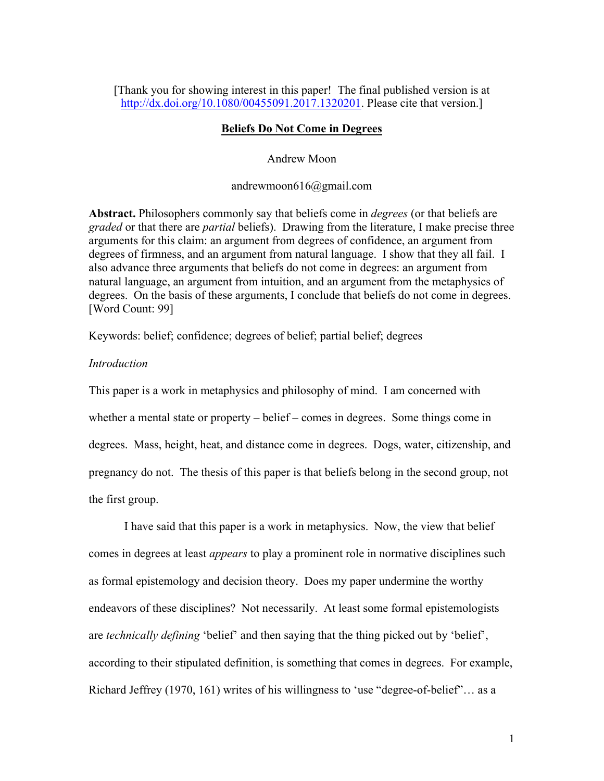[Thank you for showing interest in this paper! The final published version is at http://dx.doi.org/10.1080/00455091.2017.1320201. Please cite that version.]

# **Beliefs Do Not Come in Degrees**

Andrew Moon

andrewmoon616@gmail.com

**Abstract.** Philosophers commonly say that beliefs come in *degrees* (or that beliefs are *graded* or that there are *partial* beliefs). Drawing from the literature, I make precise three arguments for this claim: an argument from degrees of confidence, an argument from degrees of firmness, and an argument from natural language. I show that they all fail. I also advance three arguments that beliefs do not come in degrees: an argument from natural language, an argument from intuition, and an argument from the metaphysics of degrees. On the basis of these arguments, I conclude that beliefs do not come in degrees. [Word Count: 99]

Keywords: belief; confidence; degrees of belief; partial belief; degrees

# *Introduction*

This paper is a work in metaphysics and philosophy of mind. I am concerned with whether a mental state or property – belief – comes in degrees. Some things come in degrees. Mass, height, heat, and distance come in degrees. Dogs, water, citizenship, and pregnancy do not. The thesis of this paper is that beliefs belong in the second group, not the first group.

I have said that this paper is a work in metaphysics. Now, the view that belief comes in degrees at least *appears* to play a prominent role in normative disciplines such as formal epistemology and decision theory. Does my paper undermine the worthy endeavors of these disciplines? Not necessarily. At least some formal epistemologists are *technically defining* 'belief' and then saying that the thing picked out by 'belief', according to their stipulated definition, is something that comes in degrees. For example, Richard Jeffrey (1970, 161) writes of his willingness to 'use "degree-of-belief"… as a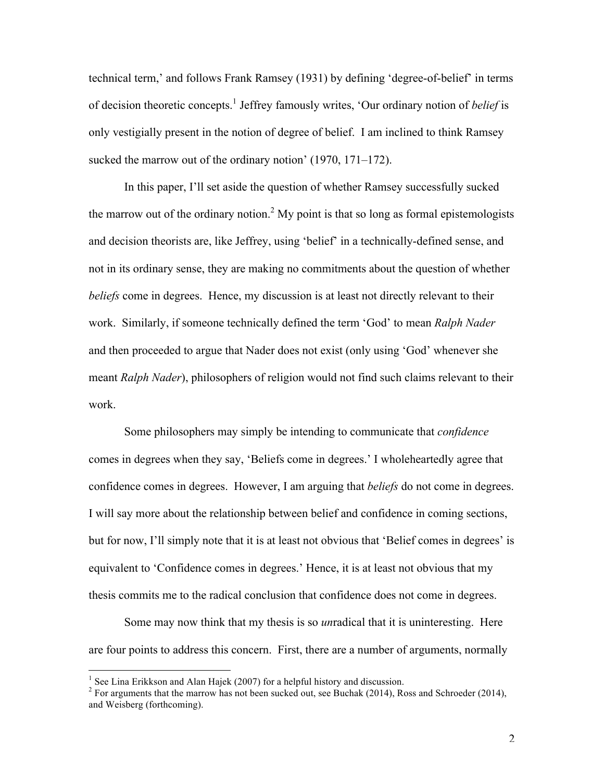technical term,' and follows Frank Ramsey (1931) by defining 'degree-of-belief' in terms of decision theoretic concepts. <sup>1</sup> Jeffrey famously writes, 'Our ordinary notion of *belief* is only vestigially present in the notion of degree of belief. I am inclined to think Ramsey sucked the marrow out of the ordinary notion' (1970, 171–172).

In this paper, I'll set aside the question of whether Ramsey successfully sucked the marrow out of the ordinary notion.<sup>2</sup> My point is that so long as formal epistemologists and decision theorists are, like Jeffrey, using 'belief' in a technically-defined sense, and not in its ordinary sense, they are making no commitments about the question of whether *beliefs* come in degrees. Hence, my discussion is at least not directly relevant to their work. Similarly, if someone technically defined the term 'God' to mean *Ralph Nader* and then proceeded to argue that Nader does not exist (only using 'God' whenever she meant *Ralph Nader*), philosophers of religion would not find such claims relevant to their work.

Some philosophers may simply be intending to communicate that *confidence* comes in degrees when they say, 'Beliefs come in degrees.' I wholeheartedly agree that confidence comes in degrees. However, I am arguing that *beliefs* do not come in degrees. I will say more about the relationship between belief and confidence in coming sections, but for now, I'll simply note that it is at least not obvious that 'Belief comes in degrees' is equivalent to 'Confidence comes in degrees.' Hence, it is at least not obvious that my thesis commits me to the radical conclusion that confidence does not come in degrees.

Some may now think that my thesis is so *un*radical that it is uninteresting. Here are four points to address this concern. First, there are a number of arguments, normally

<sup>&</sup>lt;sup>1</sup> See Lina Erikkson and Alan Hajek (2007) for a helpful history and discussion.<br><sup>2</sup> For arguments that the marrow has not been sucked out, see Buchak (2014), Ross and Schroeder (2014), and Weisberg (forthcoming).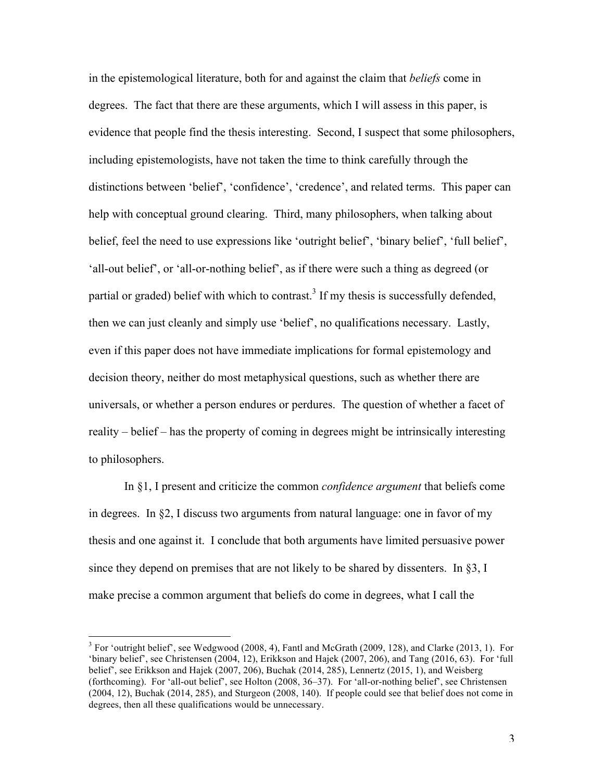in the epistemological literature, both for and against the claim that *beliefs* come in degrees. The fact that there are these arguments, which I will assess in this paper, is evidence that people find the thesis interesting. Second, I suspect that some philosophers, including epistemologists, have not taken the time to think carefully through the distinctions between 'belief', 'confidence', 'credence', and related terms. This paper can help with conceptual ground clearing. Third, many philosophers, when talking about belief, feel the need to use expressions like 'outright belief', 'binary belief', 'full belief', 'all-out belief', or 'all-or-nothing belief', as if there were such a thing as degreed (or partial or graded) belief with which to contrast.<sup>3</sup> If my thesis is successfully defended, then we can just cleanly and simply use 'belief', no qualifications necessary. Lastly, even if this paper does not have immediate implications for formal epistemology and decision theory, neither do most metaphysical questions, such as whether there are universals, or whether a person endures or perdures. The question of whether a facet of reality – belief – has the property of coming in degrees might be intrinsically interesting to philosophers.

In §1, I present and criticize the common *confidence argument* that beliefs come in degrees. In §2, I discuss two arguments from natural language: one in favor of my thesis and one against it. I conclude that both arguments have limited persuasive power since they depend on premises that are not likely to be shared by dissenters. In §3, I make precise a common argument that beliefs do come in degrees, what I call the

 $3$  For 'outright belief', see Wedgwood (2008, 4), Fantl and McGrath (2009, 128), and Clarke (2013, 1). For 'binary belief', see Christensen (2004, 12), Erikkson and Hajek (2007, 206), and Tang (2016, 63). For 'full belief', see Erikkson and Hajek (2007, 206), Buchak (2014, 285), Lennertz (2015, 1), and Weisberg (forthcoming). For 'all-out belief', see Holton (2008, 36–37). For 'all-or-nothing belief', see Christensen (2004, 12), Buchak (2014, 285), and Sturgeon (2008, 140). If people could see that belief does not come in degrees, then all these qualifications would be unnecessary.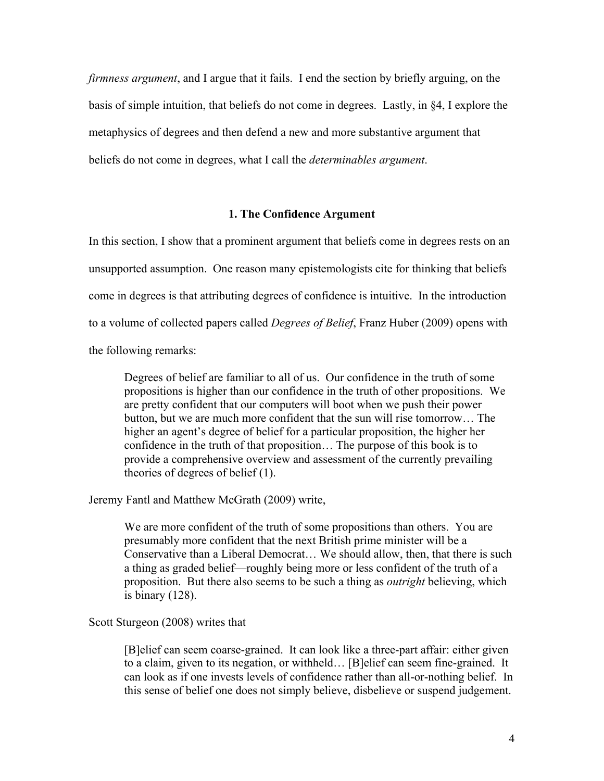*firmness argument*, and I argue that it fails. I end the section by briefly arguing, on the basis of simple intuition, that beliefs do not come in degrees. Lastly, in §4, I explore the metaphysics of degrees and then defend a new and more substantive argument that beliefs do not come in degrees, what I call the *determinables argument*.

# **1. The Confidence Argument**

In this section, I show that a prominent argument that beliefs come in degrees rests on an unsupported assumption. One reason many epistemologists cite for thinking that beliefs come in degrees is that attributing degrees of confidence is intuitive. In the introduction to a volume of collected papers called *Degrees of Belief*, Franz Huber (2009) opens with the following remarks:

Degrees of belief are familiar to all of us. Our confidence in the truth of some propositions is higher than our confidence in the truth of other propositions. We are pretty confident that our computers will boot when we push their power button, but we are much more confident that the sun will rise tomorrow… The higher an agent's degree of belief for a particular proposition, the higher her confidence in the truth of that proposition… The purpose of this book is to provide a comprehensive overview and assessment of the currently prevailing theories of degrees of belief (1).

Jeremy Fantl and Matthew McGrath (2009) write,

We are more confident of the truth of some propositions than others. You are presumably more confident that the next British prime minister will be a Conservative than a Liberal Democrat… We should allow, then, that there is such a thing as graded belief—roughly being more or less confident of the truth of a proposition. But there also seems to be such a thing as *outright* believing, which is binary (128).

### Scott Sturgeon (2008) writes that

[B]elief can seem coarse-grained. It can look like a three-part affair: either given to a claim, given to its negation, or withheld… [B]elief can seem fine-grained. It can look as if one invests levels of confidence rather than all-or-nothing belief. In this sense of belief one does not simply believe, disbelieve or suspend judgement.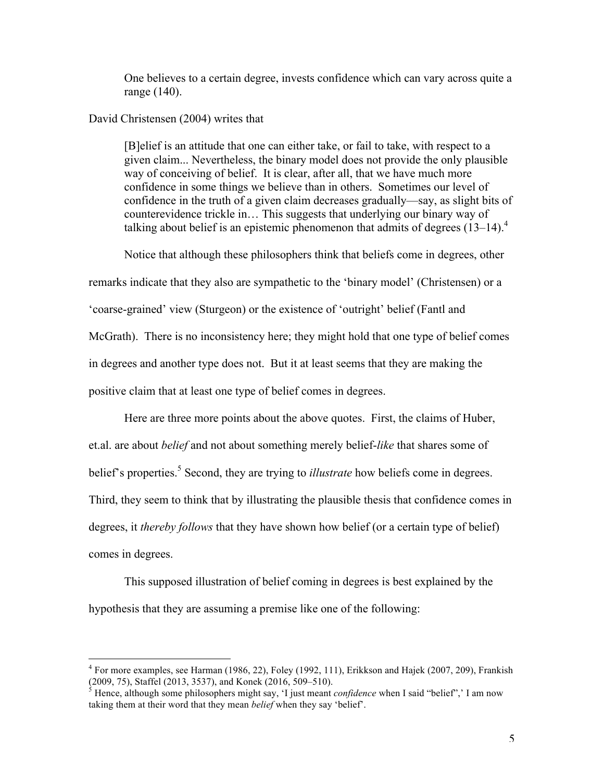One believes to a certain degree, invests confidence which can vary across quite a range (140).

# David Christensen (2004) writes that

[B]elief is an attitude that one can either take, or fail to take, with respect to a given claim... Nevertheless, the binary model does not provide the only plausible way of conceiving of belief. It is clear, after all, that we have much more confidence in some things we believe than in others. Sometimes our level of confidence in the truth of a given claim decreases gradually—say, as slight bits of counterevidence trickle in… This suggests that underlying our binary way of talking about belief is an epistemic phenomenon that admits of degrees  $(13-14)$ .<sup>4</sup>

Notice that although these philosophers think that beliefs come in degrees, other

remarks indicate that they also are sympathetic to the 'binary model' (Christensen) or a 'coarse-grained' view (Sturgeon) or the existence of 'outright' belief (Fantl and McGrath). There is no inconsistency here; they might hold that one type of belief comes in degrees and another type does not. But it at least seems that they are making the positive claim that at least one type of belief comes in degrees.

Here are three more points about the above quotes. First, the claims of Huber, et.al. are about *belief* and not about something merely belief-*like* that shares some of belief's properties.<sup>5</sup> Second, they are trying to *illustrate* how beliefs come in degrees. Third, they seem to think that by illustrating the plausible thesis that confidence comes in degrees, it *thereby follows* that they have shown how belief (or a certain type of belief) comes in degrees.

This supposed illustration of belief coming in degrees is best explained by the hypothesis that they are assuming a premise like one of the following:

 <sup>4</sup> For more examples, see Harman (1986, 22), Foley (1992, 111), Erikkson and Hajek (2007, 209), Frankish (2009, 75), Staffel (2013, 3537), and Konek (2016, 509–510).<br><sup>5</sup> Hence, although some philosophers might say, 'I just meant *confidence* when I said "belief",' I am now

taking them at their word that they mean *belief* when they say 'belief'.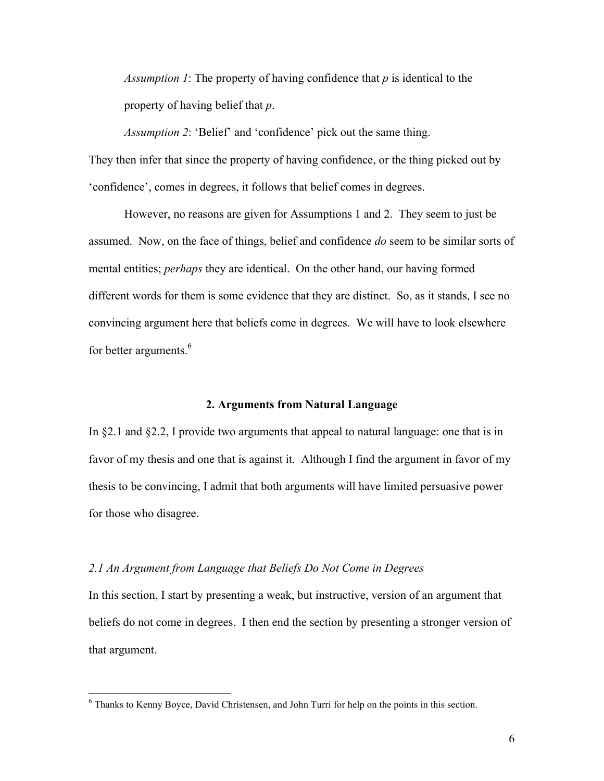*Assumption 1*: The property of having confidence that *p* is identical to the property of having belief that *p*.

*Assumption 2*: 'Belief' and 'confidence' pick out the same thing. They then infer that since the property of having confidence, or the thing picked out by 'confidence', comes in degrees, it follows that belief comes in degrees.

However, no reasons are given for Assumptions 1 and 2. They seem to just be assumed. Now, on the face of things, belief and confidence *do* seem to be similar sorts of mental entities; *perhaps* they are identical. On the other hand, our having formed different words for them is some evidence that they are distinct. So, as it stands, I see no convincing argument here that beliefs come in degrees. We will have to look elsewhere for better arguments.<sup>6</sup>

## **2. Arguments from Natural Language**

In §2.1 and §2.2, I provide two arguments that appeal to natural language: one that is in favor of my thesis and one that is against it. Although I find the argument in favor of my thesis to be convincing, I admit that both arguments will have limited persuasive power for those who disagree.

#### *2.1 An Argument from Language that Beliefs Do Not Come in Degrees*

In this section, I start by presenting a weak, but instructive, version of an argument that beliefs do not come in degrees. I then end the section by presenting a stronger version of that argument.

 <sup>6</sup> Thanks to Kenny Boyce, David Christensen, and John Turri for help on the points in this section.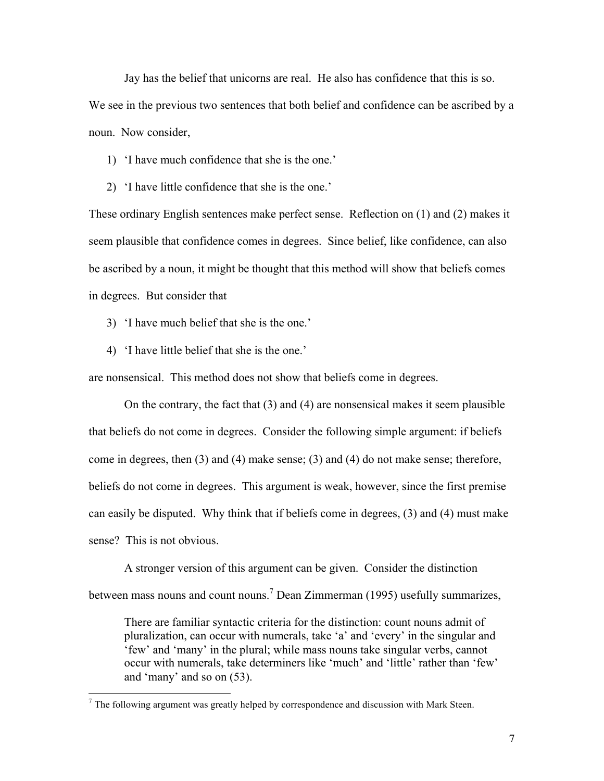Jay has the belief that unicorns are real. He also has confidence that this is so.

We see in the previous two sentences that both belief and confidence can be ascribed by a noun. Now consider,

1) 'I have much confidence that she is the one.'

2) 'I have little confidence that she is the one.'

These ordinary English sentences make perfect sense. Reflection on (1) and (2) makes it seem plausible that confidence comes in degrees. Since belief, like confidence, can also be ascribed by a noun, it might be thought that this method will show that beliefs comes in degrees. But consider that

3) 'I have much belief that she is the one.'

4) 'I have little belief that she is the one.'

are nonsensical. This method does not show that beliefs come in degrees.

On the contrary, the fact that (3) and (4) are nonsensical makes it seem plausible that beliefs do not come in degrees. Consider the following simple argument: if beliefs come in degrees, then (3) and (4) make sense; (3) and (4) do not make sense; therefore, beliefs do not come in degrees. This argument is weak, however, since the first premise can easily be disputed. Why think that if beliefs come in degrees, (3) and (4) must make sense? This is not obvious.

A stronger version of this argument can be given. Consider the distinction between mass nouns and count nouns.<sup>7</sup> Dean Zimmerman (1995) usefully summarizes,

There are familiar syntactic criteria for the distinction: count nouns admit of pluralization, can occur with numerals, take 'a' and 'every' in the singular and 'few' and 'many' in the plural; while mass nouns take singular verbs, cannot occur with numerals, take determiners like 'much' and 'little' rather than 'few' and 'many' and so on (53).

 $<sup>7</sup>$  The following argument was greatly helped by correspondence and discussion with Mark Steen.</sup>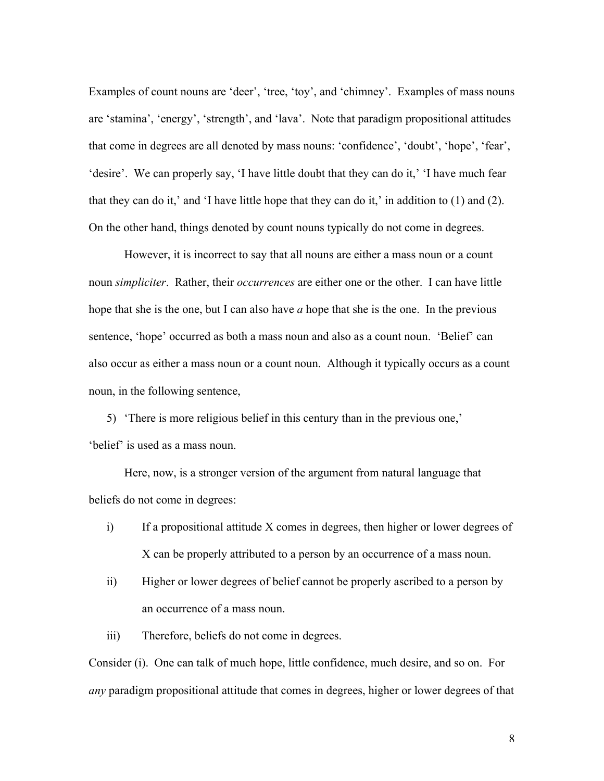Examples of count nouns are 'deer', 'tree, 'toy', and 'chimney'. Examples of mass nouns are 'stamina', 'energy', 'strength', and 'lava'. Note that paradigm propositional attitudes that come in degrees are all denoted by mass nouns: 'confidence', 'doubt', 'hope', 'fear', 'desire'. We can properly say, 'I have little doubt that they can do it,' 'I have much fear that they can do it,' and 'I have little hope that they can do it,' in addition to  $(1)$  and  $(2)$ . On the other hand, things denoted by count nouns typically do not come in degrees.

However, it is incorrect to say that all nouns are either a mass noun or a count noun *simpliciter*. Rather, their *occurrences* are either one or the other. I can have little hope that she is the one, but I can also have *a* hope that she is the one. In the previous sentence, 'hope' occurred as both a mass noun and also as a count noun. 'Belief' can also occur as either a mass noun or a count noun. Although it typically occurs as a count noun, in the following sentence,

5) 'There is more religious belief in this century than in the previous one,' 'belief' is used as a mass noun.

Here, now, is a stronger version of the argument from natural language that beliefs do not come in degrees:

- i) If a propositional attitude X comes in degrees, then higher or lower degrees of X can be properly attributed to a person by an occurrence of a mass noun.
- ii) Higher or lower degrees of belief cannot be properly ascribed to a person by an occurrence of a mass noun.
- iii) Therefore, beliefs do not come in degrees.

Consider (i). One can talk of much hope, little confidence, much desire, and so on. For *any* paradigm propositional attitude that comes in degrees, higher or lower degrees of that

8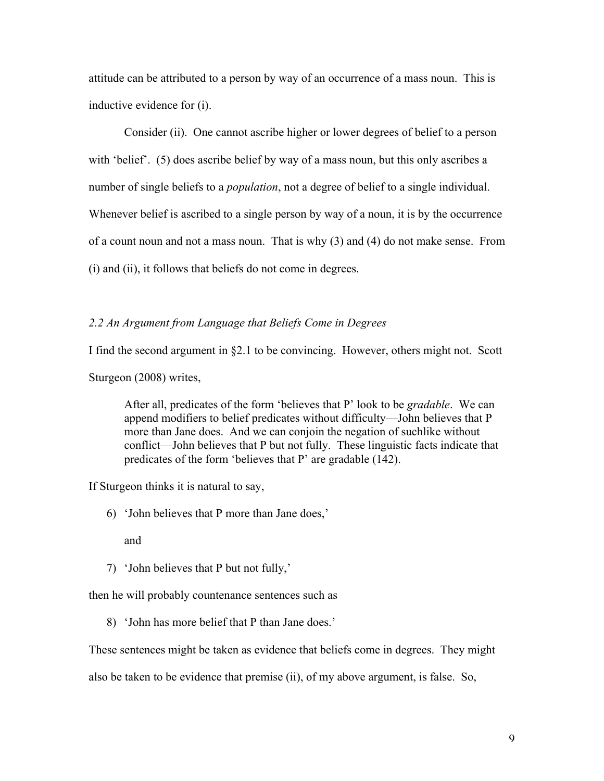attitude can be attributed to a person by way of an occurrence of a mass noun. This is inductive evidence for (i).

Consider (ii). One cannot ascribe higher or lower degrees of belief to a person with 'belief'. (5) does ascribe belief by way of a mass noun, but this only ascribes a number of single beliefs to a *population*, not a degree of belief to a single individual. Whenever belief is ascribed to a single person by way of a noun, it is by the occurrence of a count noun and not a mass noun. That is why (3) and (4) do not make sense. From (i) and (ii), it follows that beliefs do not come in degrees.

# *2.2 An Argument from Language that Beliefs Come in Degrees*

I find the second argument in §2.1 to be convincing. However, others might not. Scott

Sturgeon (2008) writes,

After all, predicates of the form 'believes that P' look to be *gradable*. We can append modifiers to belief predicates without difficulty—John believes that P more than Jane does. And we can conjoin the negation of suchlike without conflict—John believes that P but not fully. These linguistic facts indicate that predicates of the form 'believes that P' are gradable (142).

If Sturgeon thinks it is natural to say,

6) 'John believes that P more than Jane does,'

and

7) 'John believes that P but not fully,'

then he will probably countenance sentences such as

8) 'John has more belief that P than Jane does.'

These sentences might be taken as evidence that beliefs come in degrees. They might

also be taken to be evidence that premise (ii), of my above argument, is false. So,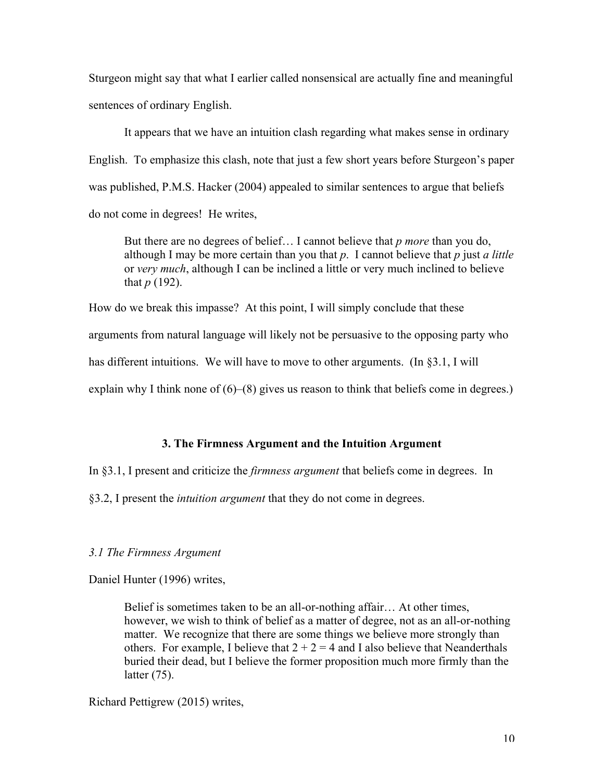Sturgeon might say that what I earlier called nonsensical are actually fine and meaningful sentences of ordinary English.

It appears that we have an intuition clash regarding what makes sense in ordinary English. To emphasize this clash, note that just a few short years before Sturgeon's paper was published, P.M.S. Hacker (2004) appealed to similar sentences to argue that beliefs do not come in degrees! He writes,

But there are no degrees of belief… I cannot believe that *p more* than you do, although I may be more certain than you that *p*. I cannot believe that *p* just *a little*  or *very much*, although I can be inclined a little or very much inclined to believe that *p* (192).

How do we break this impasse? At this point, I will simply conclude that these arguments from natural language will likely not be persuasive to the opposing party who has different intuitions. We will have to move to other arguments. (In §3.1, I will explain why I think none of (6)–(8) gives us reason to think that beliefs come in degrees.)

# **3. The Firmness Argument and the Intuition Argument**

In §3.1, I present and criticize the *firmness argument* that beliefs come in degrees. In

§3.2, I present the *intuition argument* that they do not come in degrees.

# *3.1 The Firmness Argument*

Daniel Hunter (1996) writes,

Belief is sometimes taken to be an all-or-nothing affair… At other times, however, we wish to think of belief as a matter of degree, not as an all-or-nothing matter. We recognize that there are some things we believe more strongly than others. For example, I believe that  $2 + 2 = 4$  and I also believe that Neanderthals buried their dead, but I believe the former proposition much more firmly than the latter (75).

Richard Pettigrew (2015) writes,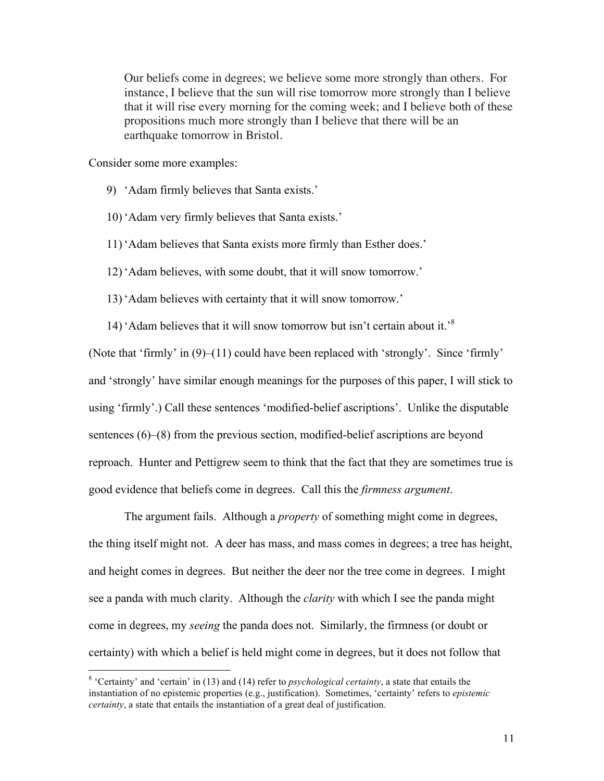Our beliefs come in degrees; we believe some more strongly than others. For instance, I believe that the sun will rise tomorrow more strongly than I believe that it will rise every morning for the coming week; and I believe both of these propositions much more strongly than I believe that there will be an earthquake tomorrow in Bristol.

Consider some more examples:

- 9) 'Adam firmly believes that Santa exists.'
- 10) 'Adam very firmly believes that Santa exists.'
- 11) 'Adam believes that Santa exists more firmly than Esther does.'
- 12) 'Adam believes, with some doubt, that it will snow tomorrow.'
- 13) 'Adam believes with certainty that it will snow tomorrow.'
- 14) 'Adam believes that it will snow tomorrow but isn't certain about it.'8

(Note that 'firmly' in (9)–(11) could have been replaced with 'strongly'. Since 'firmly' and 'strongly' have similar enough meanings for the purposes of this paper, I will stick to using 'firmly'.) Call these sentences 'modified-belief ascriptions'. Unlike the disputable sentences (6)–(8) from the previous section, modified-belief ascriptions are beyond reproach. Hunter and Pettigrew seem to think that the fact that they are sometimes true is good evidence that beliefs come in degrees. Call this the *firmness argument*.

The argument fails. Although a *property* of something might come in degrees, the thing itself might not. A deer has mass, and mass comes in degrees; a tree has height, and height comes in degrees. But neither the deer nor the tree come in degrees. I might see a panda with much clarity. Although the *clarity* with which I see the panda might come in degrees, my *seeing* the panda does not. Similarly, the firmness (or doubt or certainty) with which a belief is held might come in degrees, but it does not follow that

 <sup>8</sup> 'Certainty' and 'certain' in (13) and (14) refer to *psychological certainty*, a state that entails the instantiation of no epistemic properties (e.g., justification). Sometimes, 'certainty' refers to *epistemic certainty*, a state that entails the instantiation of a great deal of justification.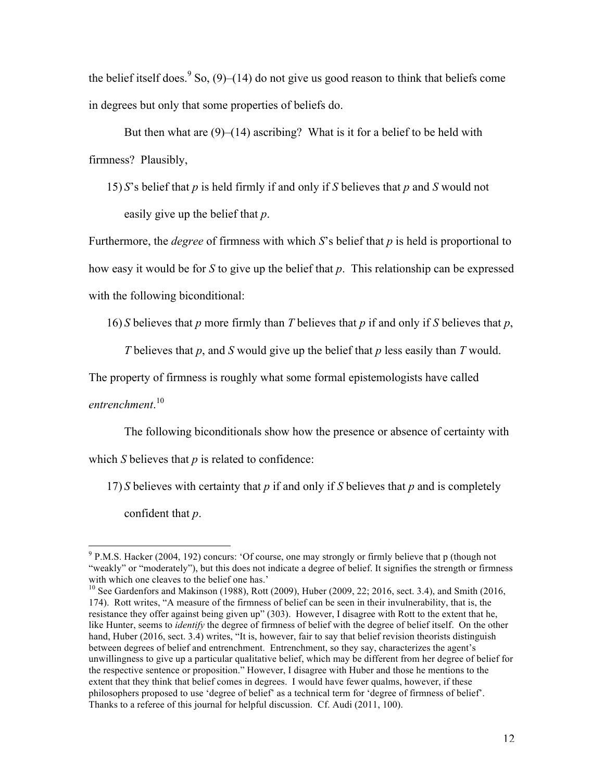the belief itself does.<sup>9</sup> So,  $(9)$ – $(14)$  do not give us good reason to think that beliefs come in degrees but only that some properties of beliefs do.

But then what are (9)–(14) ascribing? What is it for a belief to be held with firmness? Plausibly,

15) *S*'s belief that *p* is held firmly if and only if *S* believes that *p* and *S* would not easily give up the belief that *p*.

Furthermore, the *degree* of firmness with which *S*'s belief that *p* is held is proportional to how easy it would be for *S* to give up the belief that *p*. This relationship can be expressed with the following biconditional:

16) *S* believes that *p* more firmly than *T* believes that *p* if and only if *S* believes that *p*,

*T* believes that *p*, and *S* would give up the belief that *p* less easily than *T* would.

The property of firmness is roughly what some formal epistemologists have called

*entrenchment*. 10

The following biconditionals show how the presence or absence of certainty with

which *S* believes that *p* is related to confidence:

17) *S* believes with certainty that *p* if and only if *S* believes that *p* and is completely

confident that *p*.

 $9$  P.M.S. Hacker (2004, 192) concurs: 'Of course, one may strongly or firmly believe that p (though not "weakly" or "moderately"), but this does not indicate a degree of belief. It signifies the strength or firmness with which one cleaves to the belief one has.'

 $10$  See Gardenfors and Makinson (1988), Rott (2009), Huber (2009, 22; 2016, sect. 3.4), and Smith (2016, 174). Rott writes, "A measure of the firmness of belief can be seen in their invulnerability, that is, the resistance they offer against being given up" (303). However, I disagree with Rott to the extent that he, like Hunter, seems to *identify* the degree of firmness of belief with the degree of belief itself. On the other hand, Huber (2016, sect. 3.4) writes, "It is, however, fair to say that belief revision theorists distinguish between degrees of belief and entrenchment. Entrenchment, so they say, characterizes the agent's unwillingness to give up a particular qualitative belief, which may be different from her degree of belief for the respective sentence or proposition." However, I disagree with Huber and those he mentions to the extent that they think that belief comes in degrees. I would have fewer qualms, however, if these philosophers proposed to use 'degree of belief' as a technical term for 'degree of firmness of belief'. Thanks to a referee of this journal for helpful discussion. Cf. Audi (2011, 100).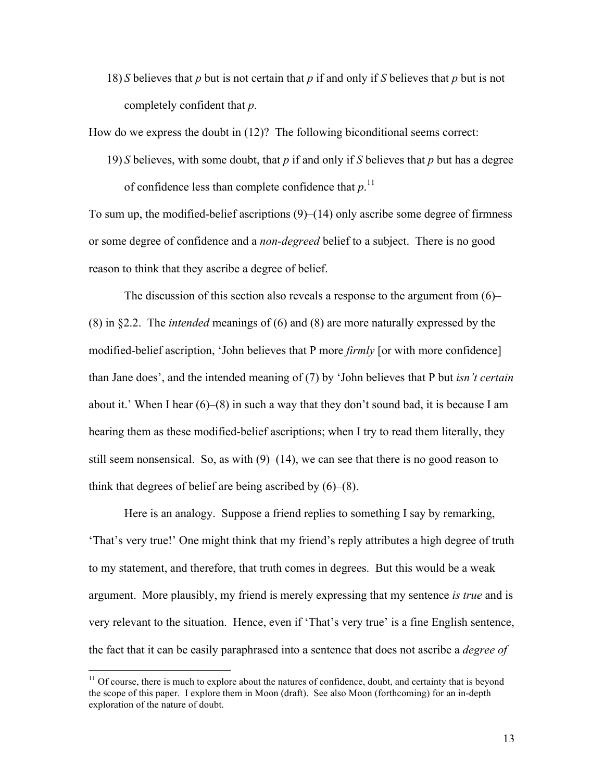18) *S* believes that *p* but is not certain that *p* if and only if *S* believes that *p* but is not completely confident that *p*.

How do we express the doubt in (12)? The following biconditional seems correct:

19) *S* believes, with some doubt, that *p* if and only if *S* believes that *p* but has a degree of confidence less than complete confidence that  $p$ .<sup>11</sup>

To sum up, the modified-belief ascriptions (9)–(14) only ascribe some degree of firmness or some degree of confidence and a *non-degreed* belief to a subject. There is no good reason to think that they ascribe a degree of belief.

The discussion of this section also reveals a response to the argument from (6)– (8) in §2.2. The *intended* meanings of (6) and (8) are more naturally expressed by the modified-belief ascription, 'John believes that P more *firmly* [or with more confidence] than Jane does', and the intended meaning of (7) by 'John believes that P but *isn't certain* about it.' When I hear (6)–(8) in such a way that they don't sound bad, it is because I am hearing them as these modified-belief ascriptions; when I try to read them literally, they still seem nonsensical. So, as with  $(9)$ – $(14)$ , we can see that there is no good reason to think that degrees of belief are being ascribed by (6)–(8).

Here is an analogy. Suppose a friend replies to something I say by remarking, 'That's very true!' One might think that my friend's reply attributes a high degree of truth to my statement, and therefore, that truth comes in degrees. But this would be a weak argument. More plausibly, my friend is merely expressing that my sentence *is true* and is very relevant to the situation. Hence, even if 'That's very true' is a fine English sentence, the fact that it can be easily paraphrased into a sentence that does not ascribe a *degree of* 

 $11$  Of course, there is much to explore about the natures of confidence, doubt, and certainty that is beyond the scope of this paper. I explore them in Moon (draft). See also Moon (forthcoming) for an in-depth exploration of the nature of doubt.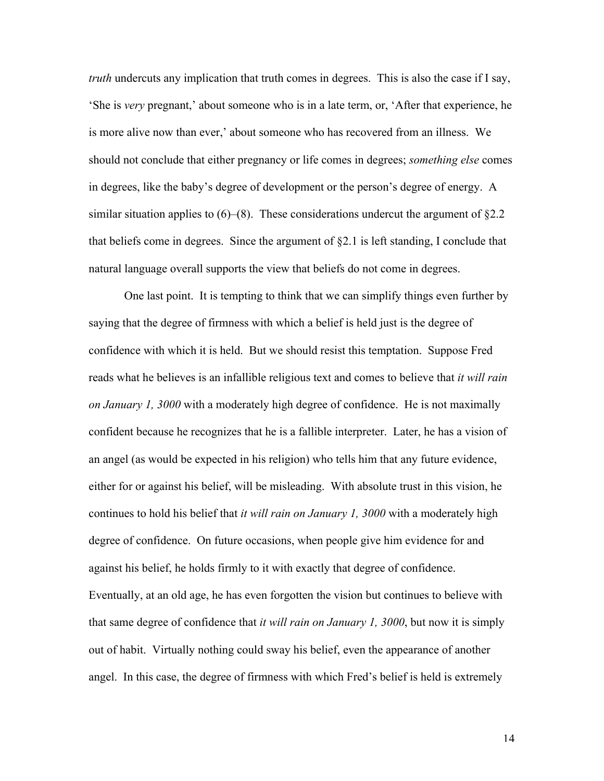*truth* undercuts any implication that truth comes in degrees. This is also the case if I say, 'She is *very* pregnant,' about someone who is in a late term, or, 'After that experience, he is more alive now than ever,' about someone who has recovered from an illness. We should not conclude that either pregnancy or life comes in degrees; *something else* comes in degrees, like the baby's degree of development or the person's degree of energy. A similar situation applies to  $(6)$ – $(8)$ . These considerations undercut the argument of §2.2 that beliefs come in degrees. Since the argument of  $\S 2.1$  is left standing, I conclude that natural language overall supports the view that beliefs do not come in degrees.

One last point. It is tempting to think that we can simplify things even further by saying that the degree of firmness with which a belief is held just is the degree of confidence with which it is held. But we should resist this temptation. Suppose Fred reads what he believes is an infallible religious text and comes to believe that *it will rain on January 1, 3000* with a moderately high degree of confidence. He is not maximally confident because he recognizes that he is a fallible interpreter. Later, he has a vision of an angel (as would be expected in his religion) who tells him that any future evidence, either for or against his belief, will be misleading. With absolute trust in this vision, he continues to hold his belief that *it will rain on January 1, 3000* with a moderately high degree of confidence. On future occasions, when people give him evidence for and against his belief, he holds firmly to it with exactly that degree of confidence. Eventually, at an old age, he has even forgotten the vision but continues to believe with that same degree of confidence that *it will rain on January 1, 3000*, but now it is simply out of habit. Virtually nothing could sway his belief, even the appearance of another angel. In this case, the degree of firmness with which Fred's belief is held is extremely

14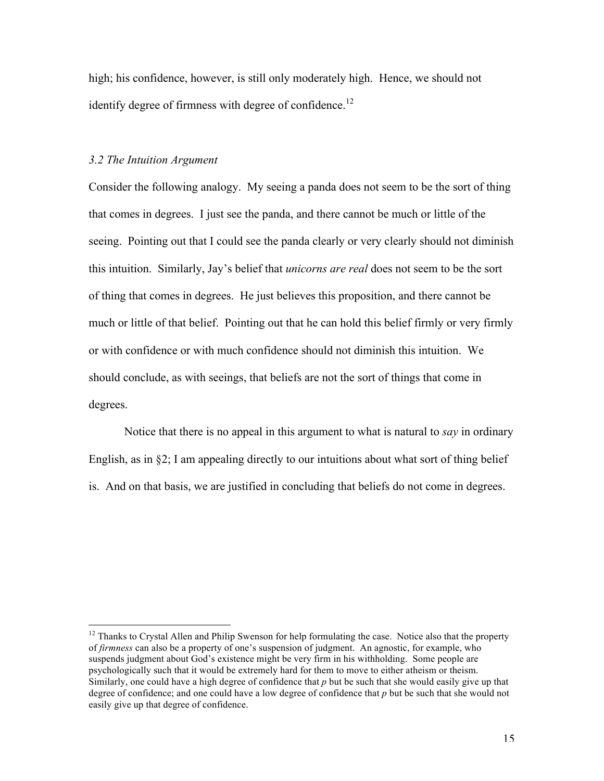high; his confidence, however, is still only moderately high. Hence, we should not identify degree of firmness with degree of confidence.<sup>12</sup>

# *3.2 The Intuition Argument*

Consider the following analogy. My seeing a panda does not seem to be the sort of thing that comes in degrees. I just see the panda, and there cannot be much or little of the seeing. Pointing out that I could see the panda clearly or very clearly should not diminish this intuition. Similarly, Jay's belief that *unicorns are real* does not seem to be the sort of thing that comes in degrees. He just believes this proposition, and there cannot be much or little of that belief. Pointing out that he can hold this belief firmly or very firmly or with confidence or with much confidence should not diminish this intuition. We should conclude, as with seeings, that beliefs are not the sort of things that come in degrees.

Notice that there is no appeal in this argument to what is natural to *say* in ordinary English, as in §2; I am appealing directly to our intuitions about what sort of thing belief is. And on that basis, we are justified in concluding that beliefs do not come in degrees.

<sup>&</sup>lt;sup>12</sup> Thanks to Crystal Allen and Philip Swenson for help formulating the case. Notice also that the property of *firmness* can also be a property of one's suspension of judgment. An agnostic, for example, who suspends judgment about God's existence might be very firm in his withholding. Some people are psychologically such that it would be extremely hard for them to move to either atheism or theism. Similarly, one could have a high degree of confidence that *p* but be such that she would easily give up that degree of confidence; and one could have a low degree of confidence that *p* but be such that she would not easily give up that degree of confidence.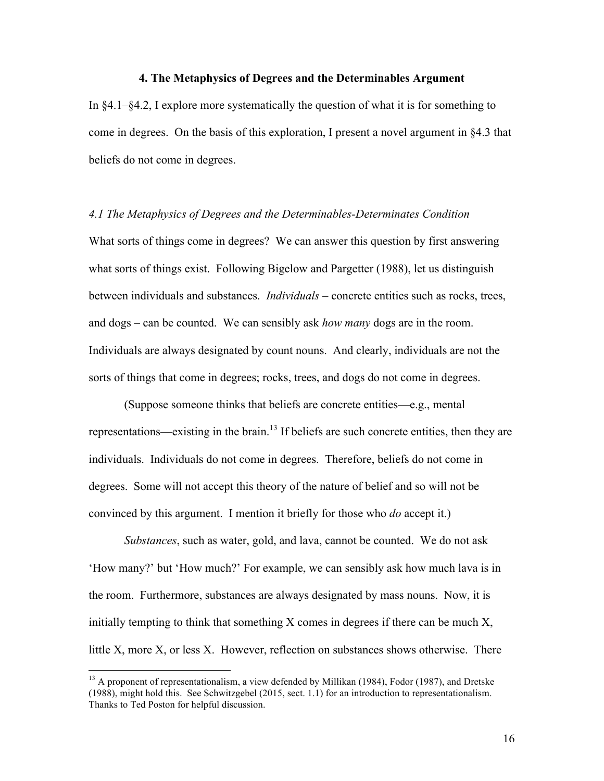# **4. The Metaphysics of Degrees and the Determinables Argument**

In  $\S 4.1-\S 4.2$ , I explore more systematically the question of what it is for something to come in degrees. On the basis of this exploration, I present a novel argument in §4.3 that beliefs do not come in degrees.

#### *4.1 The Metaphysics of Degrees and the Determinables-Determinates Condition*

What sorts of things come in degrees? We can answer this question by first answering what sorts of things exist. Following Bigelow and Pargetter (1988), let us distinguish between individuals and substances. *Individuals* – concrete entities such as rocks, trees, and dogs – can be counted. We can sensibly ask *how many* dogs are in the room. Individuals are always designated by count nouns. And clearly, individuals are not the sorts of things that come in degrees; rocks, trees, and dogs do not come in degrees.

(Suppose someone thinks that beliefs are concrete entities—e.g., mental representations—existing in the brain.<sup>13</sup> If beliefs are such concrete entities, then they are individuals. Individuals do not come in degrees. Therefore, beliefs do not come in degrees. Some will not accept this theory of the nature of belief and so will not be convinced by this argument. I mention it briefly for those who *do* accept it.)

*Substances*, such as water, gold, and lava, cannot be counted. We do not ask 'How many?' but 'How much?' For example, we can sensibly ask how much lava is in the room. Furthermore, substances are always designated by mass nouns. Now, it is initially tempting to think that something X comes in degrees if there can be much X, little X, more X, or less X. However, reflection on substances shows otherwise. There

<sup>&</sup>lt;sup>13</sup> A proponent of representationalism, a view defended by Millikan (1984), Fodor (1987), and Dretske (1988), might hold this. See Schwitzgebel (2015, sect. 1.1) for an introduction to representationalism. Thanks to Ted Poston for helpful discussion.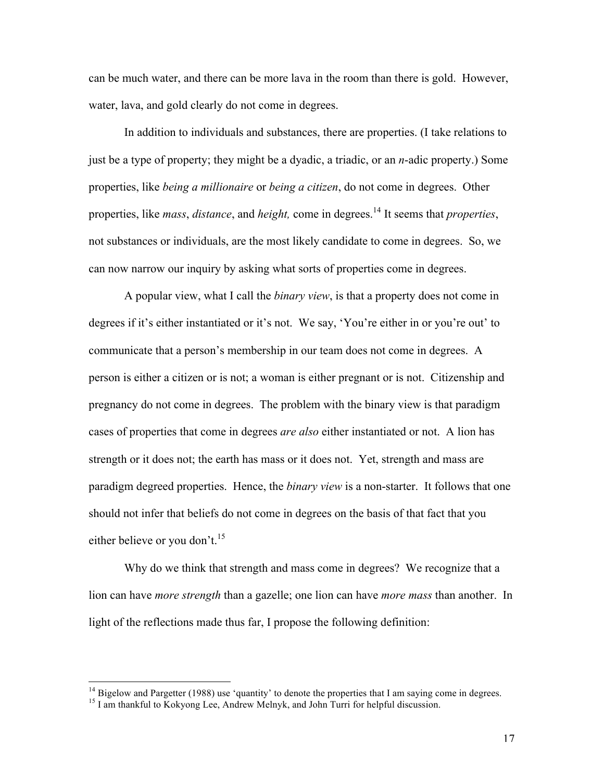can be much water, and there can be more lava in the room than there is gold. However, water, lava, and gold clearly do not come in degrees.

In addition to individuals and substances, there are properties. (I take relations to just be a type of property; they might be a dyadic, a triadic, or an *n*-adic property.) Some properties, like *being a millionaire* or *being a citizen*, do not come in degrees. Other properties, like *mass*, *distance*, and *height,* come in degrees. <sup>14</sup> It seems that *properties*, not substances or individuals, are the most likely candidate to come in degrees. So, we can now narrow our inquiry by asking what sorts of properties come in degrees.

A popular view, what I call the *binary view*, is that a property does not come in degrees if it's either instantiated or it's not. We say, 'You're either in or you're out' to communicate that a person's membership in our team does not come in degrees. A person is either a citizen or is not; a woman is either pregnant or is not. Citizenship and pregnancy do not come in degrees. The problem with the binary view is that paradigm cases of properties that come in degrees *are also* either instantiated or not. A lion has strength or it does not; the earth has mass or it does not. Yet, strength and mass are paradigm degreed properties. Hence, the *binary view* is a non-starter. It follows that one should not infer that beliefs do not come in degrees on the basis of that fact that you either believe or you don't.<sup>15</sup>

Why do we think that strength and mass come in degrees? We recognize that a lion can have *more strength* than a gazelle; one lion can have *more mass* than another. In light of the reflections made thus far, I propose the following definition:

<sup>&</sup>lt;sup>14</sup> Bigelow and Pargetter (1988) use 'quantity' to denote the properties that I am saying come in degrees. <sup>15</sup> I am thankful to Kokyong Lee, Andrew Melnyk, and John Turri for helpful discussion.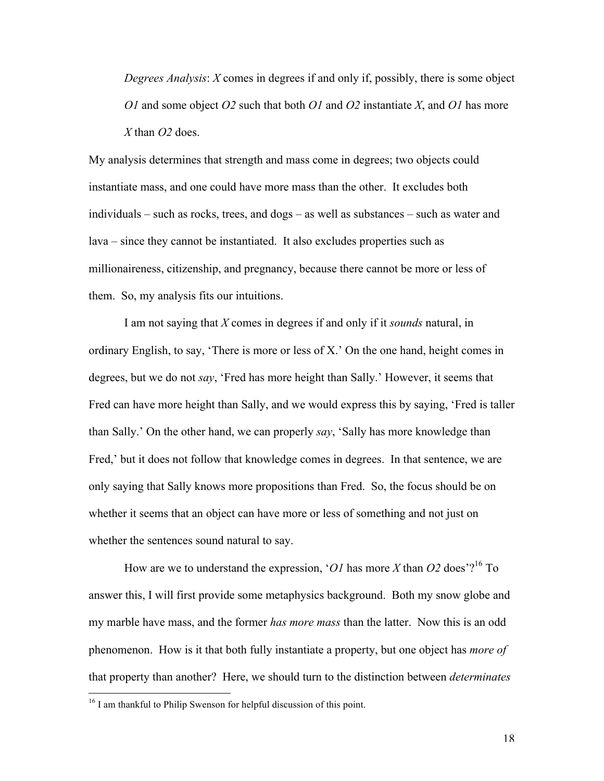*Degrees Analysis*: *X* comes in degrees if and only if, possibly, there is some object *O1* and some object *O2* such that both *O1* and *O2* instantiate *X*, and *O1* has more *X* than *O2* does.

My analysis determines that strength and mass come in degrees; two objects could instantiate mass, and one could have more mass than the other. It excludes both individuals – such as rocks, trees, and dogs – as well as substances – such as water and lava – since they cannot be instantiated. It also excludes properties such as millionaireness, citizenship, and pregnancy, because there cannot be more or less of them. So, my analysis fits our intuitions.

I am not saying that *X* comes in degrees if and only if it *sounds* natural, in ordinary English, to say, 'There is more or less of X.' On the one hand, height comes in degrees, but we do not *say*, 'Fred has more height than Sally.' However, it seems that Fred can have more height than Sally, and we would express this by saying, 'Fred is taller than Sally.' On the other hand, we can properly *say*, 'Sally has more knowledge than Fred,' but it does not follow that knowledge comes in degrees. In that sentence, we are only saying that Sally knows more propositions than Fred. So, the focus should be on whether it seems that an object can have more or less of something and not just on whether the sentences sound natural to say.

How are we to understand the expression, ' $OI$  has more  $X$  than  $O2$  does'?<sup>16</sup> To answer this, I will first provide some metaphysics background. Both my snow globe and my marble have mass, and the former *has more mass* than the latter. Now this is an odd phenomenon. How is it that both fully instantiate a property, but one object has *more of* that property than another? Here, we should turn to the distinction between *determinates*

 $16$  I am thankful to Philip Swenson for helpful discussion of this point.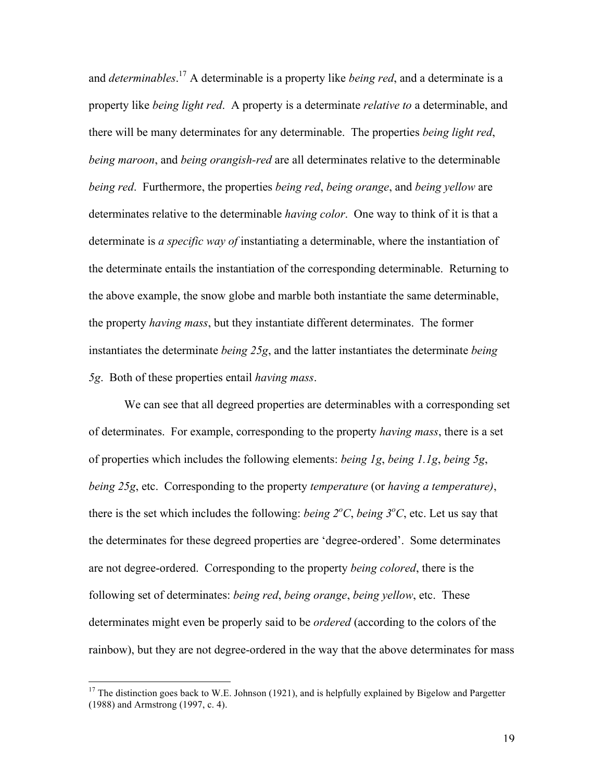and *determinables*. <sup>17</sup> A determinable is a property like *being red*, and a determinate is a property like *being light red*. A property is a determinate *relative to* a determinable, and there will be many determinates for any determinable. The properties *being light red*, *being maroon*, and *being orangish-red* are all determinates relative to the determinable *being red*. Furthermore, the properties *being red*, *being orange*, and *being yellow* are determinates relative to the determinable *having color*. One way to think of it is that a determinate is *a specific way of* instantiating a determinable, where the instantiation of the determinate entails the instantiation of the corresponding determinable. Returning to the above example, the snow globe and marble both instantiate the same determinable, the property *having mass*, but they instantiate different determinates. The former instantiates the determinate *being 25g*, and the latter instantiates the determinate *being 5g*. Both of these properties entail *having mass*.

We can see that all degreed properties are determinables with a corresponding set of determinates. For example, corresponding to the property *having mass*, there is a set of properties which includes the following elements: *being 1g*, *being 1.1g*, *being 5g*, *being 25g*, etc. Corresponding to the property *temperature* (or *having a temperature)*, there is the set which includes the following: *being*  $2^{\circ}C$ *, being*  $3^{\circ}C$ *, etc.* Let us say that the determinates for these degreed properties are 'degree-ordered'. Some determinates are not degree-ordered. Corresponding to the property *being colored*, there is the following set of determinates: *being red*, *being orange*, *being yellow*, etc. These determinates might even be properly said to be *ordered* (according to the colors of the rainbow), but they are not degree-ordered in the way that the above determinates for mass

 $17$  The distinction goes back to W.E. Johnson (1921), and is helpfully explained by Bigelow and Pargetter (1988) and Armstrong (1997, c. 4).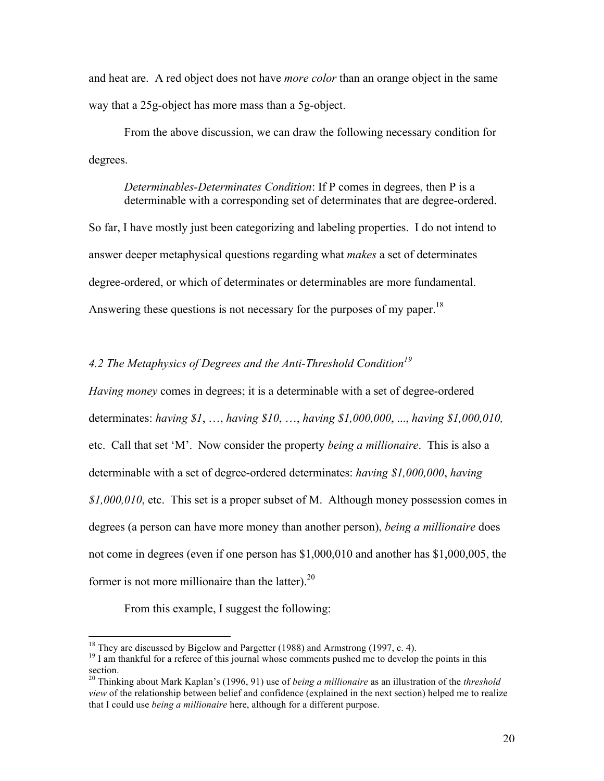and heat are. A red object does not have *more color* than an orange object in the same way that a 25g-object has more mass than a 5g-object.

From the above discussion, we can draw the following necessary condition for degrees.

*Determinables-Determinates Condition*: If P comes in degrees, then P is a determinable with a corresponding set of determinates that are degree-ordered.

So far, I have mostly just been categorizing and labeling properties. I do not intend to answer deeper metaphysical questions regarding what *makes* a set of determinates degree-ordered, or which of determinates or determinables are more fundamental. Answering these questions is not necessary for the purposes of my paper.<sup>18</sup>

# *4.2 The Metaphysics of Degrees and the Anti-Threshold Condition<sup>19</sup>*

*Having money* comes in degrees; it is a determinable with a set of degree-ordered determinates: *having \$1*, …, *having \$10*, …, *having \$1,000,000*, ..., *having \$1,000,010,*  etc. Call that set 'M'. Now consider the property *being a millionaire*. This is also a determinable with a set of degree-ordered determinates: *having \$1,000,000*, *having \$1,000,010*, etc. This set is a proper subset of M. Although money possession comes in degrees (a person can have more money than another person), *being a millionaire* does not come in degrees (even if one person has \$1,000,010 and another has \$1,000,005, the former is not more millionaire than the latter). $^{20}$ 

From this example, I suggest the following:

<sup>&</sup>lt;sup>18</sup> They are discussed by Bigelow and Pargetter (1988) and Armstrong (1997, c. 4).<br><sup>19</sup> I am thankful for a referee of this journal whose comments pushed me to develop the points in this section.

<sup>20</sup> Thinking about Mark Kaplan's (1996, 91) use of *being a millionaire* as an illustration of the *threshold view* of the relationship between belief and confidence (explained in the next section) helped me to realize that I could use *being a millionaire* here, although for a different purpose.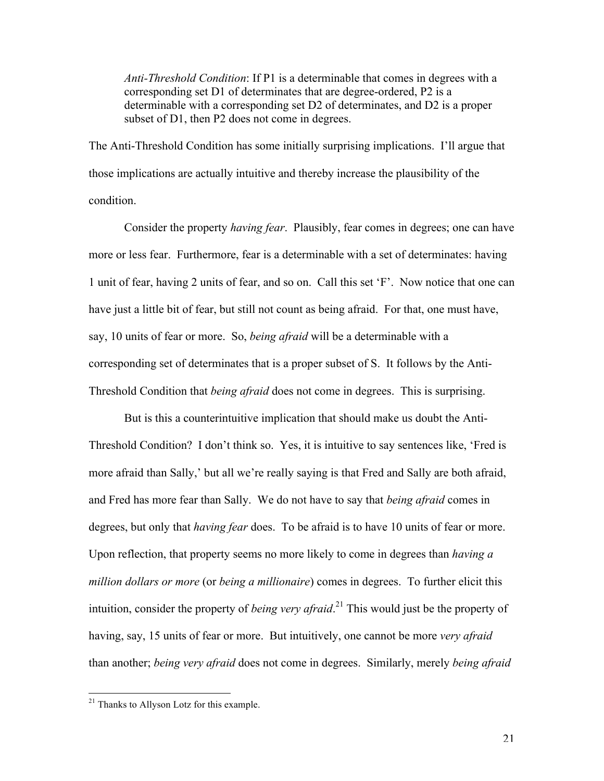*Anti-Threshold Condition*: If P1 is a determinable that comes in degrees with a corresponding set D1 of determinates that are degree-ordered, P2 is a determinable with a corresponding set D2 of determinates, and D2 is a proper subset of D1, then P2 does not come in degrees.

The Anti-Threshold Condition has some initially surprising implications. I'll argue that those implications are actually intuitive and thereby increase the plausibility of the condition.

Consider the property *having fear*. Plausibly, fear comes in degrees; one can have more or less fear. Furthermore, fear is a determinable with a set of determinates: having 1 unit of fear, having 2 units of fear, and so on. Call this set 'F'. Now notice that one can have just a little bit of fear, but still not count as being afraid. For that, one must have, say, 10 units of fear or more. So, *being afraid* will be a determinable with a corresponding set of determinates that is a proper subset of S. It follows by the Anti-Threshold Condition that *being afraid* does not come in degrees. This is surprising.

But is this a counterintuitive implication that should make us doubt the Anti-Threshold Condition? I don't think so. Yes, it is intuitive to say sentences like, 'Fred is more afraid than Sally,' but all we're really saying is that Fred and Sally are both afraid, and Fred has more fear than Sally. We do not have to say that *being afraid* comes in degrees, but only that *having fear* does. To be afraid is to have 10 units of fear or more. Upon reflection, that property seems no more likely to come in degrees than *having a million dollars or more* (or *being a millionaire*) comes in degrees. To further elicit this intuition, consider the property of *being very afraid*. <sup>21</sup> This would just be the property of having, say, 15 units of fear or more. But intuitively, one cannot be more *very afraid* than another; *being very afraid* does not come in degrees. Similarly, merely *being afraid*

21

<sup>&</sup>lt;sup>21</sup> Thanks to Allyson Lotz for this example.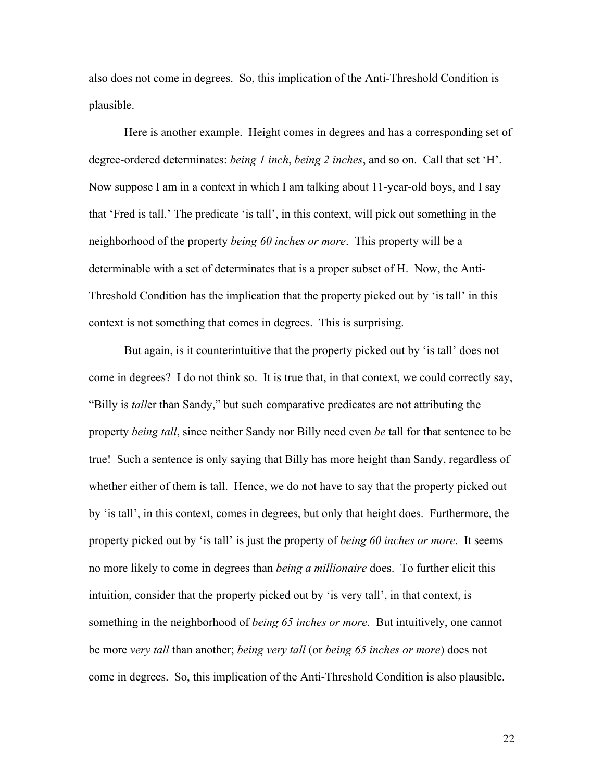also does not come in degrees. So, this implication of the Anti-Threshold Condition is plausible.

Here is another example. Height comes in degrees and has a corresponding set of degree-ordered determinates: *being 1 inch*, *being 2 inches*, and so on. Call that set 'H'. Now suppose I am in a context in which I am talking about 11-year-old boys, and I say that 'Fred is tall.' The predicate 'is tall', in this context, will pick out something in the neighborhood of the property *being 60 inches or more*. This property will be a determinable with a set of determinates that is a proper subset of H. Now, the Anti-Threshold Condition has the implication that the property picked out by 'is tall' in this context is not something that comes in degrees. This is surprising.

But again, is it counterintuitive that the property picked out by 'is tall' does not come in degrees? I do not think so. It is true that, in that context, we could correctly say, "Billy is *tall*er than Sandy," but such comparative predicates are not attributing the property *being tall*, since neither Sandy nor Billy need even *be* tall for that sentence to be true! Such a sentence is only saying that Billy has more height than Sandy, regardless of whether either of them is tall. Hence, we do not have to say that the property picked out by 'is tall', in this context, comes in degrees, but only that height does. Furthermore, the property picked out by 'is tall' is just the property of *being 60 inches or more*. It seems no more likely to come in degrees than *being a millionaire* does. To further elicit this intuition, consider that the property picked out by 'is very tall', in that context, is something in the neighborhood of *being 65 inches or more*. But intuitively, one cannot be more *very tall* than another; *being very tall* (or *being 65 inches or more*) does not come in degrees. So, this implication of the Anti-Threshold Condition is also plausible.

 $22$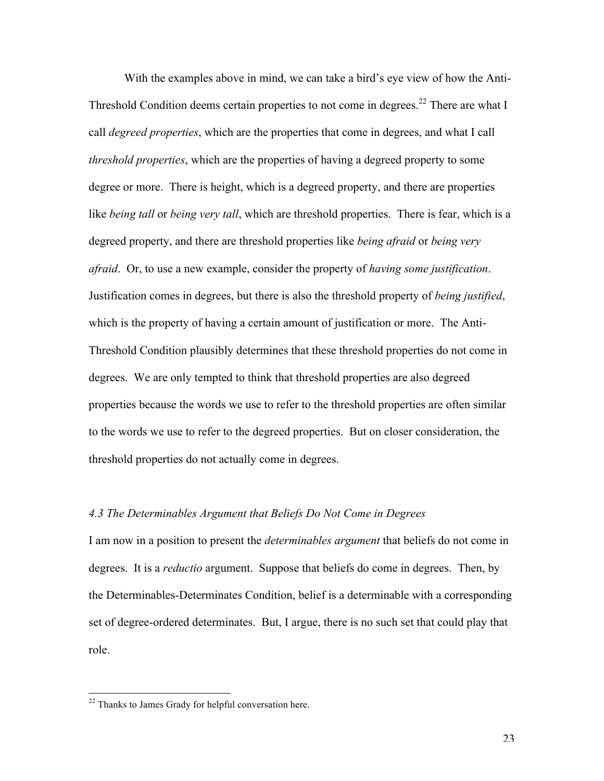With the examples above in mind, we can take a bird's eye view of how the Anti-Threshold Condition deems certain properties to not come in degrees.<sup>22</sup> There are what I call *degreed properties*, which are the properties that come in degrees, and what I call *threshold properties*, which are the properties of having a degreed property to some degree or more. There is height, which is a degreed property, and there are properties like *being tall* or *being very tall*, which are threshold properties. There is fear, which is a degreed property, and there are threshold properties like *being afraid* or *being very afraid*. Or, to use a new example, consider the property of *having some justification*. Justification comes in degrees, but there is also the threshold property of *being justified*, which is the property of having a certain amount of justification or more. The Anti-Threshold Condition plausibly determines that these threshold properties do not come in degrees. We are only tempted to think that threshold properties are also degreed properties because the words we use to refer to the threshold properties are often similar to the words we use to refer to the degreed properties. But on closer consideration, the threshold properties do not actually come in degrees.

# *4.3 The Determinables Argument that Beliefs Do Not Come in Degrees*

I am now in a position to present the *determinables argument* that beliefs do not come in degrees. It is a *reductio* argument. Suppose that beliefs do come in degrees. Then, by the Determinables-Determinates Condition, belief is a determinable with a corresponding set of degree-ordered determinates. But, I argue, there is no such set that could play that role.

<sup>&</sup>lt;sup>22</sup> Thanks to James Grady for helpful conversation here.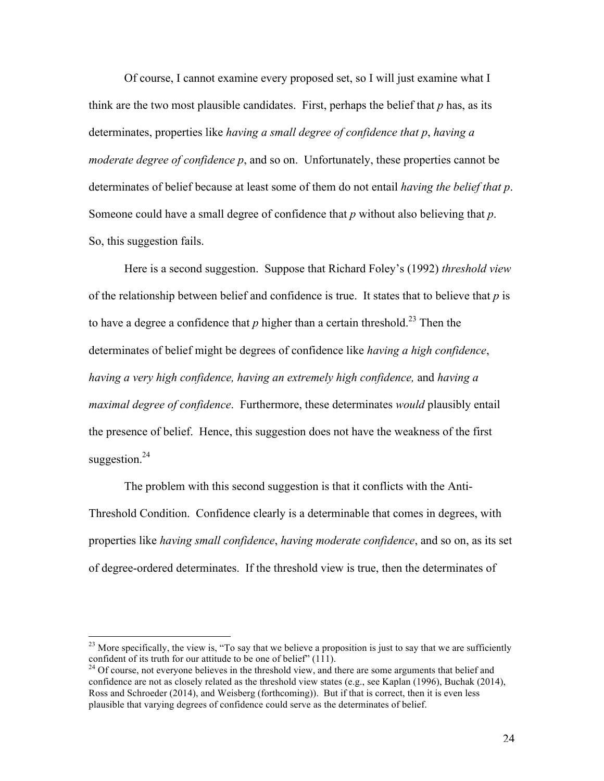Of course, I cannot examine every proposed set, so I will just examine what I think are the two most plausible candidates. First, perhaps the belief that *p* has, as its determinates, properties like *having a small degree of confidence that p*, *having a moderate degree of confidence p*, and so on. Unfortunately, these properties cannot be determinates of belief because at least some of them do not entail *having the belief that p*. Someone could have a small degree of confidence that *p* without also believing that *p*. So, this suggestion fails.

Here is a second suggestion. Suppose that Richard Foley's (1992) *threshold view* of the relationship between belief and confidence is true. It states that to believe that *p* is to have a degree a confidence that  $p$  higher than a certain threshold.<sup>23</sup> Then the determinates of belief might be degrees of confidence like *having a high confidence*, *having a very high confidence, having an extremely high confidence,* and *having a maximal degree of confidence*. Furthermore, these determinates *would* plausibly entail the presence of belief. Hence, this suggestion does not have the weakness of the first suggestion. $^{24}$ 

The problem with this second suggestion is that it conflicts with the Anti-Threshold Condition. Confidence clearly is a determinable that comes in degrees, with properties like *having small confidence*, *having moderate confidence*, and so on, as its set of degree-ordered determinates. If the threshold view is true, then the determinates of

<sup>&</sup>lt;sup>23</sup> More specifically, the view is, "To say that we believe a proposition is just to say that we are sufficiently confident of its truth for our attitude to be one of belief  $(111)$ .

<sup>&</sup>lt;sup>24</sup> Of course, not everyone believes in the threshold view, and there are some arguments that belief and confidence are not as closely related as the threshold view states (e.g., see Kaplan (1996), Buchak (2014), Ross and Schroeder (2014), and Weisberg (forthcoming)). But if that is correct, then it is even less plausible that varying degrees of confidence could serve as the determinates of belief.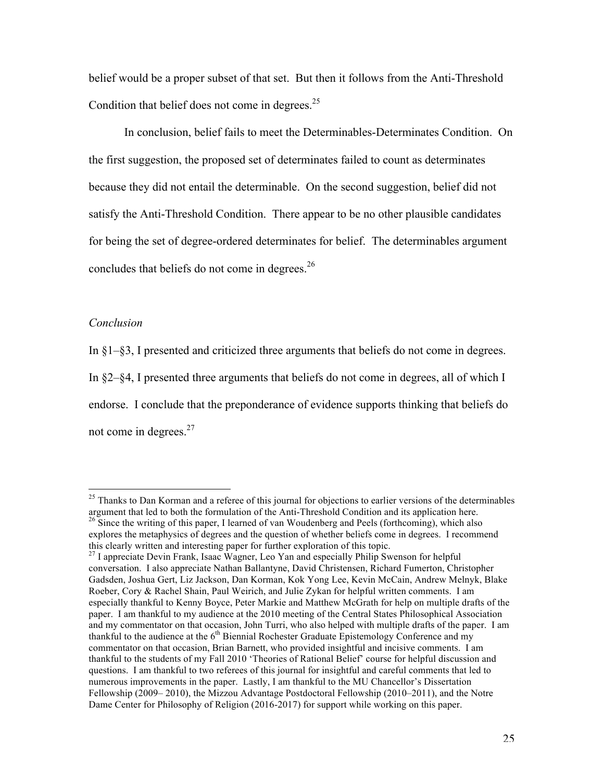belief would be a proper subset of that set. But then it follows from the Anti-Threshold Condition that belief does not come in degrees.<sup>25</sup>

In conclusion, belief fails to meet the Determinables-Determinates Condition. On the first suggestion, the proposed set of determinates failed to count as determinates because they did not entail the determinable. On the second suggestion, belief did not satisfy the Anti-Threshold Condition. There appear to be no other plausible candidates for being the set of degree-ordered determinates for belief. The determinables argument concludes that beliefs do not come in degrees.<sup>26</sup>

#### *Conclusion*

In §1–§3, I presented and criticized three arguments that beliefs do not come in degrees. In §2–§4, I presented three arguments that beliefs do not come in degrees, all of which I endorse. I conclude that the preponderance of evidence supports thinking that beliefs do not come in degrees.<sup>27</sup>

<sup>&</sup>lt;sup>25</sup> Thanks to Dan Korman and a referee of this journal for objections to earlier versions of the determinables argument that led to both the formulation of the Anti-Threshold Condition and its application here.  $26$  Since the writing of this paper, I learned of van Woudenberg and Peels (forthcoming), which also explores the metaphysics of degrees and the question of whether beliefs come in degrees. I recommend this clearly written and interesting paper for further exploration of this topic.

<sup>&</sup>lt;sup>27</sup> I appreciate Devin Frank, Isaac Wagner, Leo Yan and especially Philip Swenson for helpful conversation. I also appreciate Nathan Ballantyne, David Christensen, Richard Fumerton, Christopher Gadsden, Joshua Gert, Liz Jackson, Dan Korman, Kok Yong Lee, Kevin McCain, Andrew Melnyk, Blake Roeber, Cory & Rachel Shain, Paul Weirich, and Julie Zykan for helpful written comments. I am especially thankful to Kenny Boyce, Peter Markie and Matthew McGrath for help on multiple drafts of the paper. I am thankful to my audience at the 2010 meeting of the Central States Philosophical Association and my commentator on that occasion, John Turri, who also helped with multiple drafts of the paper. I am thankful to the audience at the  $6<sup>th</sup>$  Biennial Rochester Graduate Epistemology Conference and my commentator on that occasion, Brian Barnett, who provided insightful and incisive comments. I am thankful to the students of my Fall 2010 'Theories of Rational Belief' course for helpful discussion and questions. I am thankful to two referees of this journal for insightful and careful comments that led to numerous improvements in the paper. Lastly, I am thankful to the MU Chancellor's Dissertation Fellowship (2009– 2010), the Mizzou Advantage Postdoctoral Fellowship (2010–2011), and the Notre Dame Center for Philosophy of Religion (2016-2017) for support while working on this paper.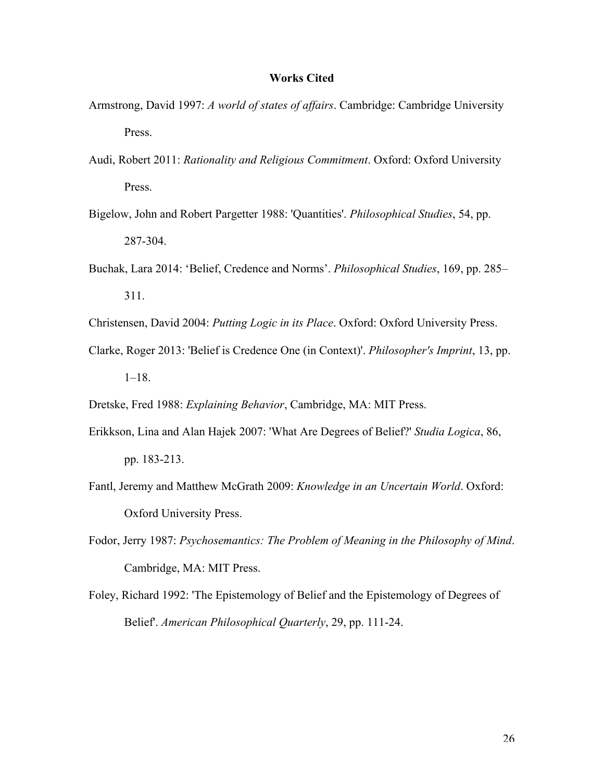# **Works Cited**

- Armstrong, David 1997: *A world of states of affairs*. Cambridge: Cambridge University Press.
- Audi, Robert 2011: *Rationality and Religious Commitment*. Oxford: Oxford University Press.
- Bigelow, John and Robert Pargetter 1988: 'Quantities'. *Philosophical Studies*, 54, pp. 287-304.
- Buchak, Lara 2014: 'Belief, Credence and Norms'. *Philosophical Studies*, 169, pp. 285– 311.

Christensen, David 2004: *Putting Logic in its Place*. Oxford: Oxford University Press.

Clarke, Roger 2013: 'Belief is Credence One (in Context)'. *Philosopher's Imprint*, 13, pp. 1–18.

Dretske, Fred 1988: *Explaining Behavior*, Cambridge, MA: MIT Press.

- Erikkson, Lina and Alan Hajek 2007: 'What Are Degrees of Belief?' *Studia Logica*, 86, pp. 183-213.
- Fantl, Jeremy and Matthew McGrath 2009: *Knowledge in an Uncertain World*. Oxford: Oxford University Press.
- Fodor, Jerry 1987: *Psychosemantics: The Problem of Meaning in the Philosophy of Mind*. Cambridge, MA: MIT Press.
- Foley, Richard 1992: 'The Epistemology of Belief and the Epistemology of Degrees of Belief'. *American Philosophical Quarterly*, 29, pp. 111-24.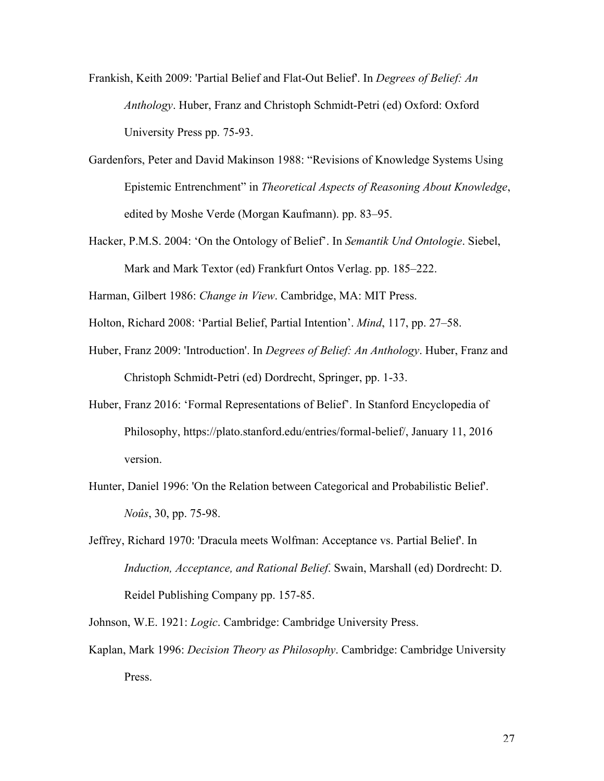Frankish, Keith 2009: 'Partial Belief and Flat-Out Belief'. In *Degrees of Belief: An Anthology*. Huber, Franz and Christoph Schmidt-Petri (ed) Oxford: Oxford University Press pp. 75-93.

- Gardenfors, Peter and David Makinson 1988: "Revisions of Knowledge Systems Using Epistemic Entrenchment" in *Theoretical Aspects of Reasoning About Knowledge*, edited by Moshe Verde (Morgan Kaufmann). pp. 83–95.
- Hacker, P.M.S. 2004: 'On the Ontology of Belief'. In *Semantik Und Ontologie*. Siebel, Mark and Mark Textor (ed) Frankfurt Ontos Verlag. pp. 185–222.

Harman, Gilbert 1986: *Change in View*. Cambridge, MA: MIT Press.

Holton, Richard 2008: 'Partial Belief, Partial Intention'. *Mind*, 117, pp. 27–58.

- Huber, Franz 2009: 'Introduction'. In *Degrees of Belief: An Anthology*. Huber, Franz and Christoph Schmidt-Petri (ed) Dordrecht, Springer, pp. 1-33.
- Huber, Franz 2016: 'Formal Representations of Belief'. In Stanford Encyclopedia of Philosophy, https://plato.stanford.edu/entries/formal-belief/, January 11, 2016 version.
- Hunter, Daniel 1996: 'On the Relation between Categorical and Probabilistic Belief'. *Noûs*, 30, pp. 75-98.
- Jeffrey, Richard 1970: 'Dracula meets Wolfman: Acceptance vs. Partial Belief'. In *Induction, Acceptance, and Rational Belief*. Swain, Marshall (ed) Dordrecht: D. Reidel Publishing Company pp. 157-85.
- Johnson, W.E. 1921: *Logic*. Cambridge: Cambridge University Press.
- Kaplan, Mark 1996: *Decision Theory as Philosophy*. Cambridge: Cambridge University Press.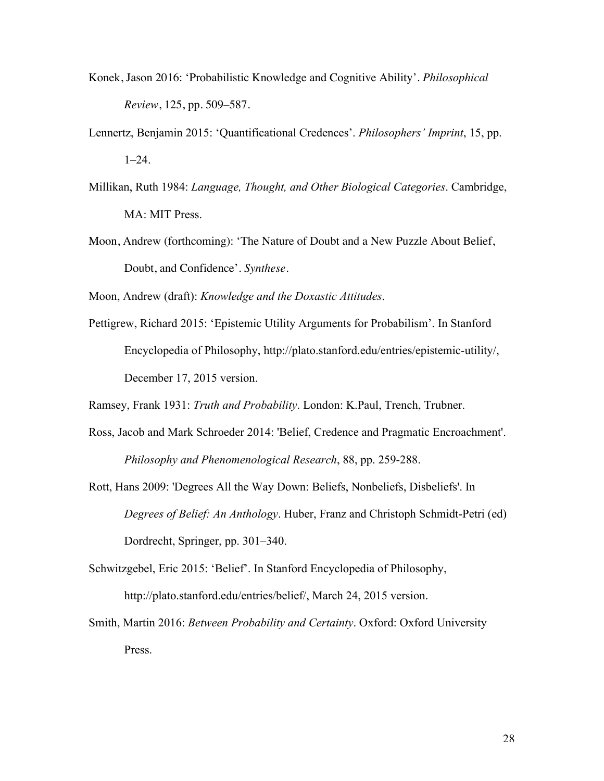- Konek, Jason 2016: 'Probabilistic Knowledge and Cognitive Ability'. *Philosophical Review*, 125, pp. 509–587.
- Lennertz, Benjamin 2015: 'Quantificational Credences'. *Philosophers' Imprint*, 15, pp.  $1-24$ .
- Millikan, Ruth 1984: *Language, Thought, and Other Biological Categories*. Cambridge, MA: MIT Press.
- Moon, Andrew (forthcoming): 'The Nature of Doubt and a New Puzzle About Belief, Doubt, and Confidence'. *Synthese*.

Moon, Andrew (draft): *Knowledge and the Doxastic Attitudes*.

Pettigrew, Richard 2015: 'Epistemic Utility Arguments for Probabilism'. In Stanford Encyclopedia of Philosophy, http://plato.stanford.edu/entries/epistemic-utility/, December 17, 2015 version.

Ramsey, Frank 1931: *Truth and Probability*. London: K.Paul, Trench, Trubner.

- Ross, Jacob and Mark Schroeder 2014: 'Belief, Credence and Pragmatic Encroachment'. *Philosophy and Phenomenological Research*, 88, pp. 259-288.
- Rott, Hans 2009: 'Degrees All the Way Down: Beliefs, Nonbeliefs, Disbeliefs'. In *Degrees of Belief: An Anthology*. Huber, Franz and Christoph Schmidt-Petri (ed) Dordrecht, Springer, pp. 301–340.
- Schwitzgebel, Eric 2015: 'Belief'. In Stanford Encyclopedia of Philosophy, http://plato.stanford.edu/entries/belief/, March 24, 2015 version.
- Smith, Martin 2016: *Between Probability and Certainty*. Oxford: Oxford University Press.